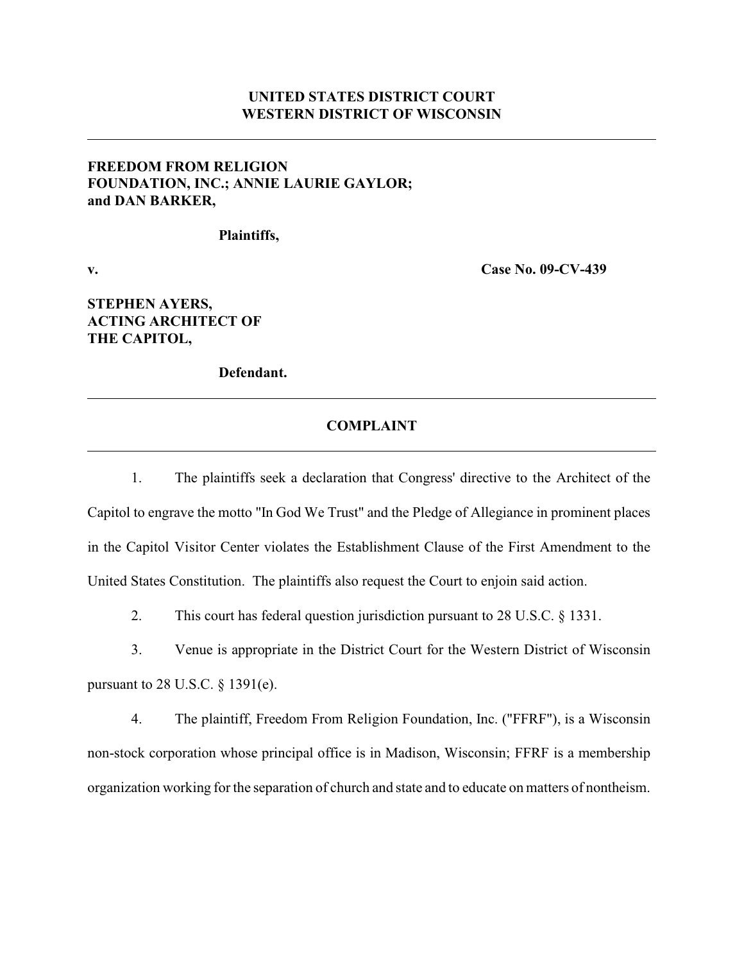## **UNITED STATES DISTRICT COURT WESTERN DISTRICT OF WISCONSIN**

## **FREEDOM FROM RELIGION FOUNDATION, INC.; ANNIE LAURIE GAYLOR; and DAN BARKER,**

**Plaintiffs,**

**v. Case No. 09-CV-439**

# **STEPHEN AYERS, ACTING ARCHITECT OF THE CAPITOL,**

**Defendant.**

#### **COMPLAINT**

1. The plaintiffs seek a declaration that Congress' directive to the Architect of the Capitol to engrave the motto "In God We Trust" and the Pledge of Allegiance in prominent places in the Capitol Visitor Center violates the Establishment Clause of the First Amendment to the United States Constitution. The plaintiffs also request the Court to enjoin said action.

2. This court has federal question jurisdiction pursuant to 28 U.S.C. § 1331.

3. Venue is appropriate in the District Court for the Western District of Wisconsin pursuant to 28 U.S.C. § 1391(e).

4. The plaintiff, Freedom From Religion Foundation, Inc. ("FFRF"), is a Wisconsin non-stock corporation whose principal office is in Madison, Wisconsin; FFRF is a membership organization working for the separation of church and state and to educate on matters of nontheism.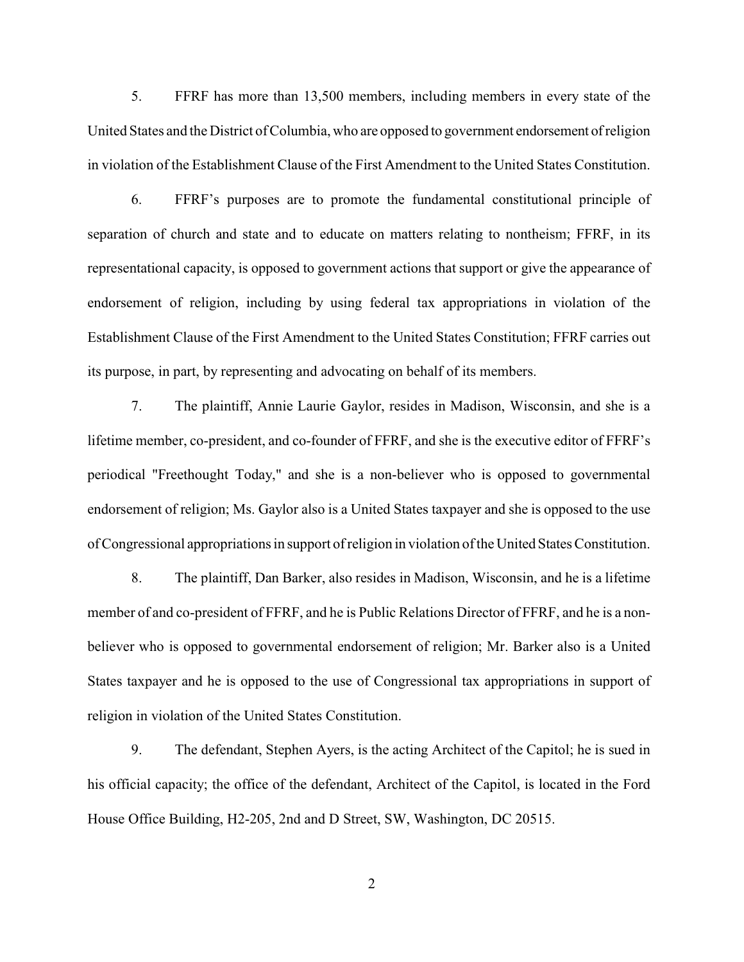5. FFRF has more than 13,500 members, including members in every state of the United States and the District of Columbia, who are opposed to government endorsement of religion in violation of the Establishment Clause of the First Amendment to the United States Constitution.

6. FFRF's purposes are to promote the fundamental constitutional principle of separation of church and state and to educate on matters relating to nontheism; FFRF, in its representational capacity, is opposed to government actions that support or give the appearance of endorsement of religion, including by using federal tax appropriations in violation of the Establishment Clause of the First Amendment to the United States Constitution; FFRF carries out its purpose, in part, by representing and advocating on behalf of its members.

7. The plaintiff, Annie Laurie Gaylor, resides in Madison, Wisconsin, and she is a lifetime member, co-president, and co-founder of FFRF, and she is the executive editor of FFRF's periodical "Freethought Today," and she is a non-believer who is opposed to governmental endorsement of religion; Ms. Gaylor also is a United States taxpayer and she is opposed to the use of Congressional appropriations in support of religion in violation of the United States Constitution.

8. The plaintiff, Dan Barker, also resides in Madison, Wisconsin, and he is a lifetime member of and co-president of FFRF, and he is Public Relations Director of FFRF, and he is a nonbeliever who is opposed to governmental endorsement of religion; Mr. Barker also is a United States taxpayer and he is opposed to the use of Congressional tax appropriations in support of religion in violation of the United States Constitution.

9. The defendant, Stephen Ayers, is the acting Architect of the Capitol; he is sued in his official capacity; the office of the defendant, Architect of the Capitol, is located in the Ford House Office Building, H2-205, 2nd and D Street, SW, Washington, DC 20515.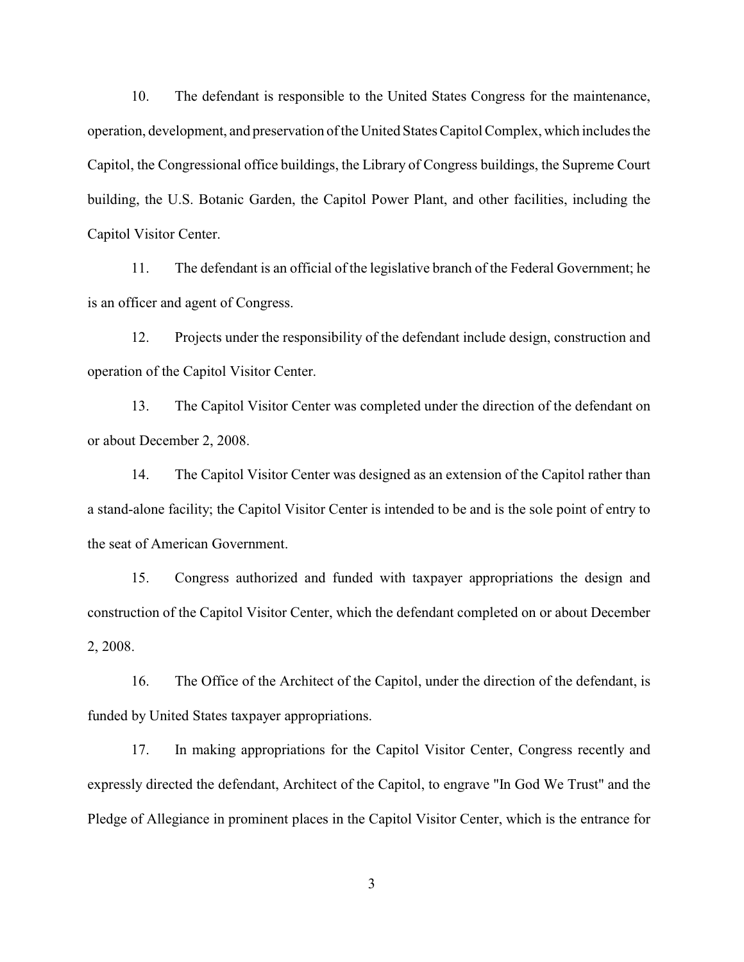10. The defendant is responsible to the United States Congress for the maintenance, operation, development, and preservation of the United States Capitol Complex, which includes the Capitol, the Congressional office buildings, the Library of Congress buildings, the Supreme Court building, the U.S. Botanic Garden, the Capitol Power Plant, and other facilities, including the Capitol Visitor Center.

11. The defendant is an official of the legislative branch of the Federal Government; he is an officer and agent of Congress.

12. Projects under the responsibility of the defendant include design, construction and operation of the Capitol Visitor Center.

13. The Capitol Visitor Center was completed under the direction of the defendant on or about December 2, 2008.

14. The Capitol Visitor Center was designed as an extension of the Capitol rather than a stand-alone facility; the Capitol Visitor Center is intended to be and is the sole point of entry to the seat of American Government.

15. Congress authorized and funded with taxpayer appropriations the design and construction of the Capitol Visitor Center, which the defendant completed on or about December 2, 2008.

16. The Office of the Architect of the Capitol, under the direction of the defendant, is funded by United States taxpayer appropriations.

17. In making appropriations for the Capitol Visitor Center, Congress recently and expressly directed the defendant, Architect of the Capitol, to engrave "In God We Trust" and the Pledge of Allegiance in prominent places in the Capitol Visitor Center, which is the entrance for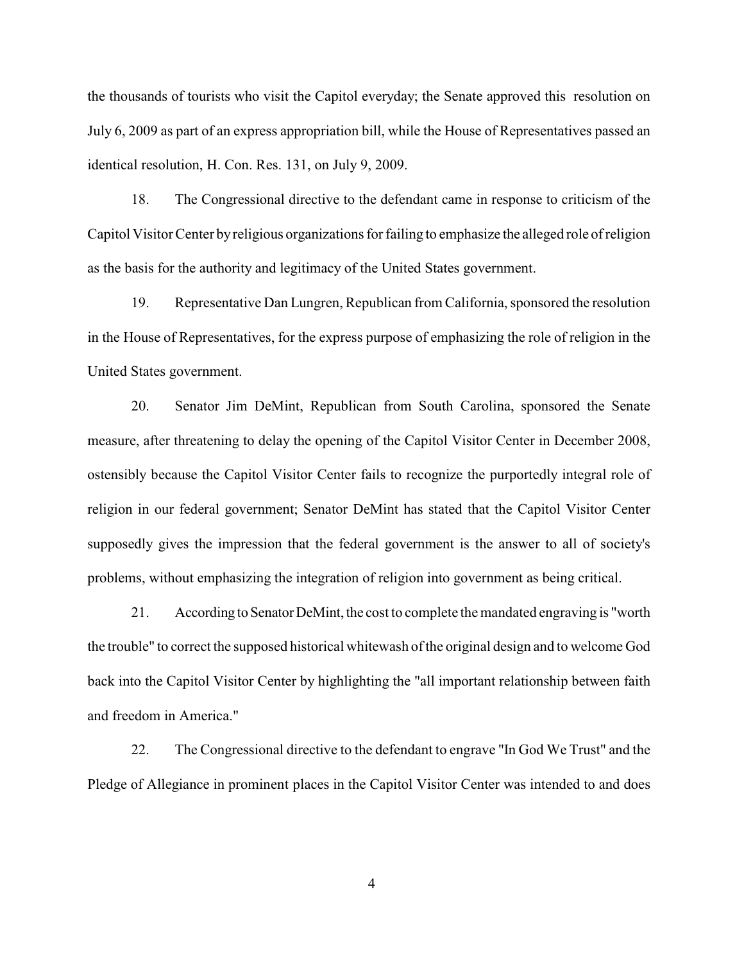the thousands of tourists who visit the Capitol everyday; the Senate approved this resolution on July 6, 2009 as part of an express appropriation bill, while the House of Representatives passed an identical resolution, H. Con. Res. 131, on July 9, 2009.

18. The Congressional directive to the defendant came in response to criticism of the Capitol Visitor Center by religious organizations for failing to emphasize the alleged role of religion as the basis for the authority and legitimacy of the United States government.

19. Representative Dan Lungren, Republican from California, sponsored the resolution in the House of Representatives, for the express purpose of emphasizing the role of religion in the United States government.

20. Senator Jim DeMint, Republican from South Carolina, sponsored the Senate measure, after threatening to delay the opening of the Capitol Visitor Center in December 2008, ostensibly because the Capitol Visitor Center fails to recognize the purportedly integral role of religion in our federal government; Senator DeMint has stated that the Capitol Visitor Center supposedly gives the impression that the federal government is the answer to all of society's problems, without emphasizing the integration of religion into government as being critical.

21. According to Senator DeMint, the cost to complete the mandated engraving is "worth the trouble" to correct the supposed historical whitewash of the original design and to welcome God back into the Capitol Visitor Center by highlighting the "all important relationship between faith and freedom in America."

22. The Congressional directive to the defendant to engrave "In God We Trust" and the Pledge of Allegiance in prominent places in the Capitol Visitor Center was intended to and does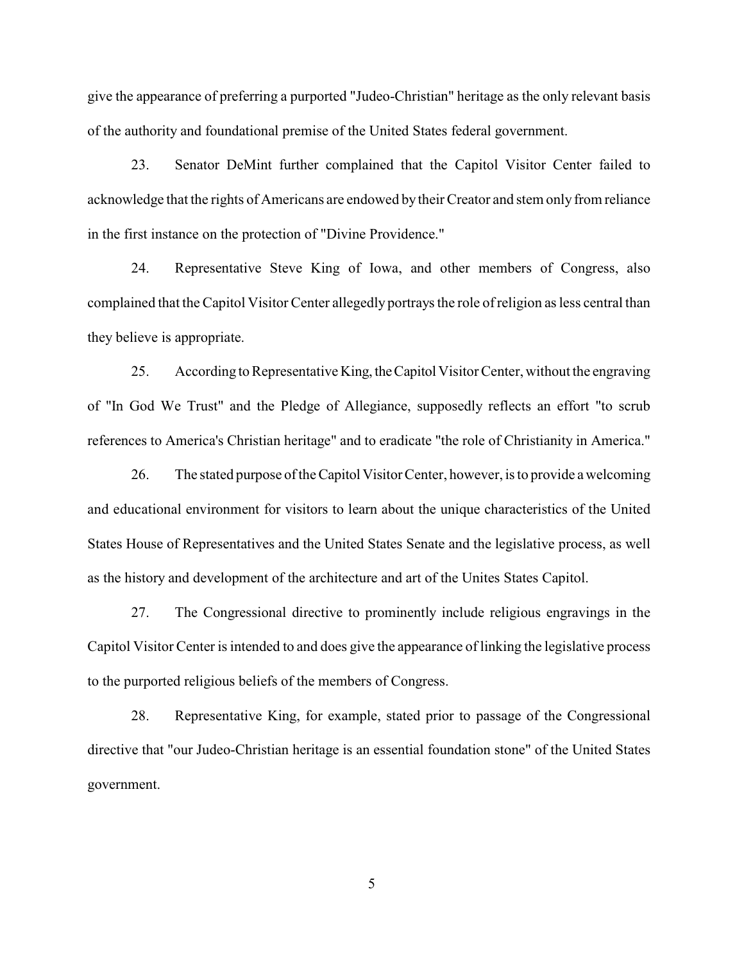give the appearance of preferring a purported "Judeo-Christian" heritage as the only relevant basis of the authority and foundational premise of the United States federal government.

23. Senator DeMint further complained that the Capitol Visitor Center failed to acknowledge that the rights of Americans are endowed by their Creator and stem only from reliance in the first instance on the protection of "Divine Providence."

24. Representative Steve King of Iowa, and other members of Congress, also complained that the Capitol Visitor Center allegedly portrays the role ofreligion as less central than they believe is appropriate.

25. According to Representative King, the Capitol Visitor Center, without the engraving of "In God We Trust" and the Pledge of Allegiance, supposedly reflects an effort "to scrub references to America's Christian heritage" and to eradicate "the role of Christianity in America."

26. The stated purpose of the Capitol Visitor Center, however, is to provide a welcoming and educational environment for visitors to learn about the unique characteristics of the United States House of Representatives and the United States Senate and the legislative process, as well as the history and development of the architecture and art of the Unites States Capitol.

27. The Congressional directive to prominently include religious engravings in the Capitol Visitor Center is intended to and does give the appearance of linking the legislative process to the purported religious beliefs of the members of Congress.

28. Representative King, for example, stated prior to passage of the Congressional directive that "our Judeo-Christian heritage is an essential foundation stone" of the United States government.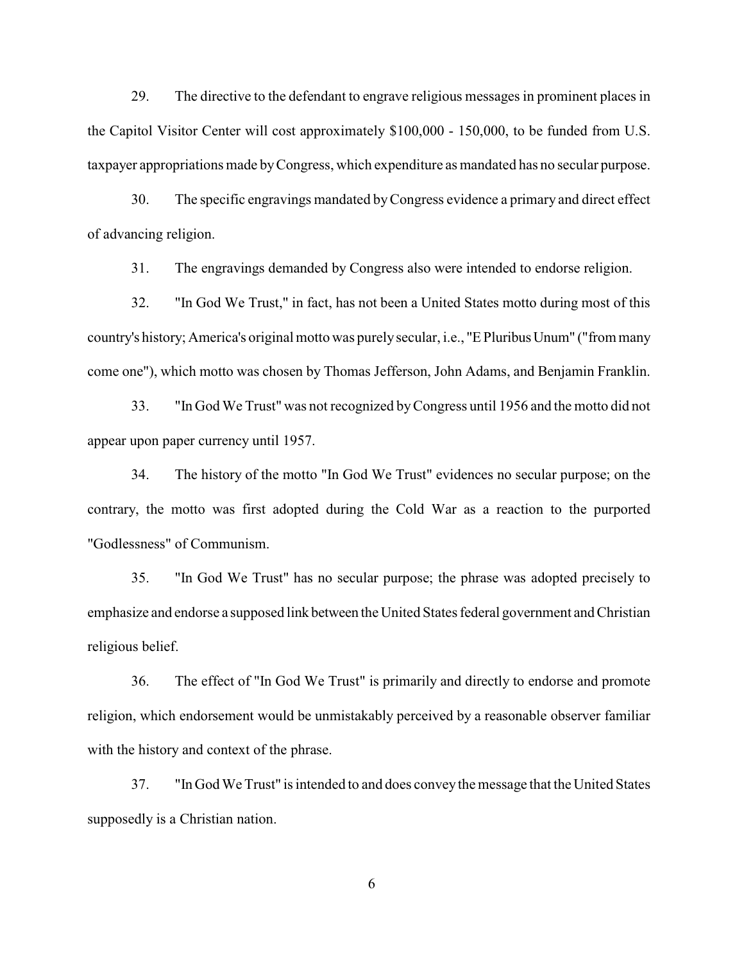29. The directive to the defendant to engrave religious messages in prominent places in the Capitol Visitor Center will cost approximately \$100,000 - 150,000, to be funded from U.S. taxpayer appropriations made by Congress, which expenditure as mandated has no secular purpose.

30. The specific engravings mandated by Congress evidence a primary and direct effect of advancing religion.

31. The engravings demanded by Congress also were intended to endorse religion.

32. "In God We Trust," in fact, has not been a United States motto during most of this country's history; America's original motto was purely secular, i.e., "E Pluribus Unum" ("from many come one"), which motto was chosen by Thomas Jefferson, John Adams, and Benjamin Franklin.

33. "In God We Trust" was not recognized byCongress until 1956 and the motto did not appear upon paper currency until 1957.

34. The history of the motto "In God We Trust" evidences no secular purpose; on the contrary, the motto was first adopted during the Cold War as a reaction to the purported "Godlessness" of Communism.

35. "In God We Trust" has no secular purpose; the phrase was adopted precisely to emphasize and endorse a supposed link between the United States federal government and Christian religious belief.

36. The effect of "In God We Trust" is primarily and directly to endorse and promote religion, which endorsement would be unmistakably perceived by a reasonable observer familiar with the history and context of the phrase.

37. "In God We Trust" is intended to and does conveythe message that the United States supposedly is a Christian nation.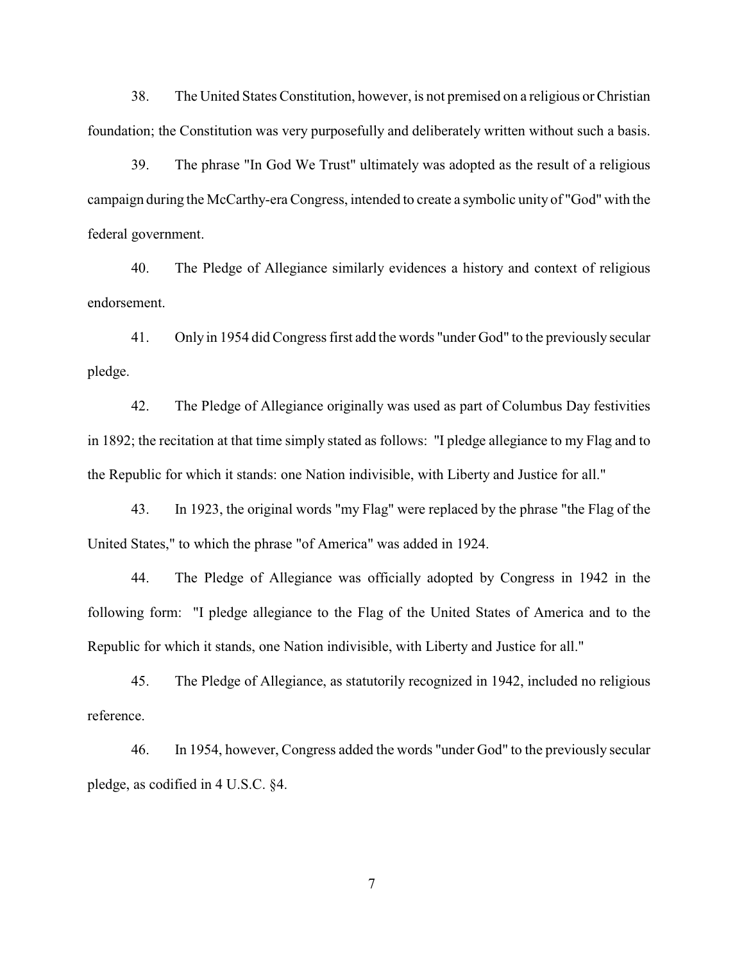38. The United States Constitution, however, is not premised on a religious or Christian foundation; the Constitution was very purposefully and deliberately written without such a basis.

39. The phrase "In God We Trust" ultimately was adopted as the result of a religious campaign during the McCarthy-era Congress, intended to create a symbolic unity of "God" with the federal government.

40. The Pledge of Allegiance similarly evidences a history and context of religious endorsement.

41. Only in 1954 did Congress first add the words "under God" to the previously secular pledge.

42. The Pledge of Allegiance originally was used as part of Columbus Day festivities in 1892; the recitation at that time simply stated as follows: "I pledge allegiance to my Flag and to the Republic for which it stands: one Nation indivisible, with Liberty and Justice for all."

43. In 1923, the original words "my Flag" were replaced by the phrase "the Flag of the United States," to which the phrase "of America" was added in 1924.

44. The Pledge of Allegiance was officially adopted by Congress in 1942 in the following form: "I pledge allegiance to the Flag of the United States of America and to the Republic for which it stands, one Nation indivisible, with Liberty and Justice for all."

45. The Pledge of Allegiance, as statutorily recognized in 1942, included no religious reference.

46. In 1954, however, Congress added the words "under God" to the previously secular pledge, as codified in 4 U.S.C. §4.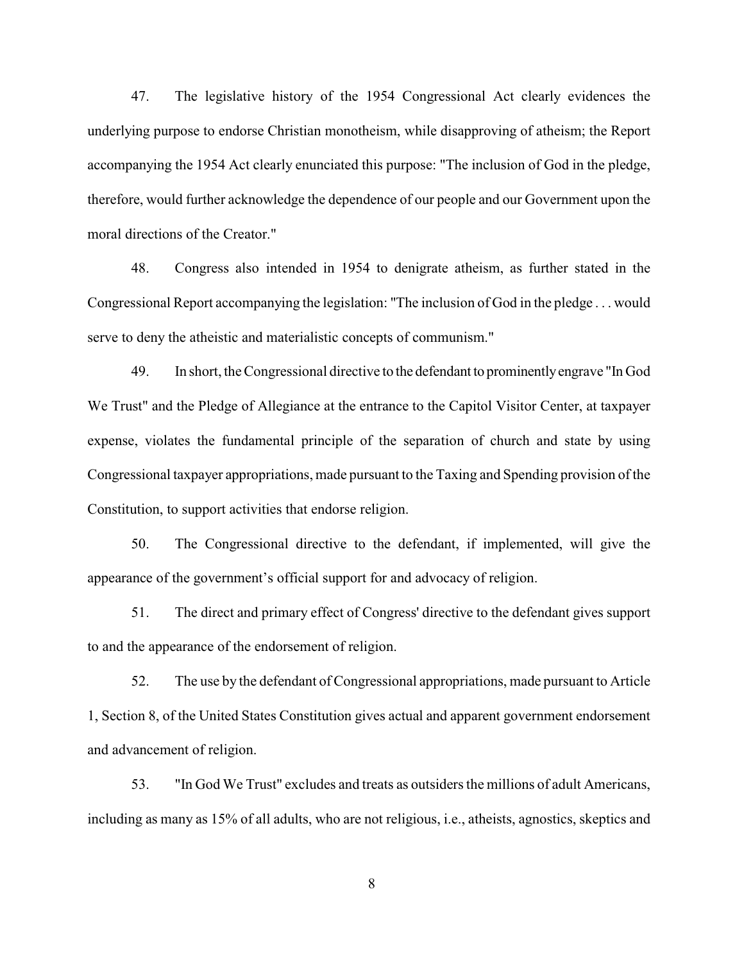47. The legislative history of the 1954 Congressional Act clearly evidences the underlying purpose to endorse Christian monotheism, while disapproving of atheism; the Report accompanying the 1954 Act clearly enunciated this purpose: "The inclusion of God in the pledge, therefore, would further acknowledge the dependence of our people and our Government upon the moral directions of the Creator."

48. Congress also intended in 1954 to denigrate atheism, as further stated in the Congressional Report accompanying the legislation: "The inclusion of God in the pledge . . . would serve to deny the atheistic and materialistic concepts of communism."

49. In short, the Congressional directive to the defendant to prominently engrave "In God We Trust" and the Pledge of Allegiance at the entrance to the Capitol Visitor Center, at taxpayer expense, violates the fundamental principle of the separation of church and state by using Congressional taxpayer appropriations, made pursuant to the Taxing and Spending provision of the Constitution, to support activities that endorse religion.

50. The Congressional directive to the defendant, if implemented, will give the appearance of the government's official support for and advocacy of religion.

51. The direct and primary effect of Congress' directive to the defendant gives support to and the appearance of the endorsement of religion.

52. The use by the defendant of Congressional appropriations, made pursuant to Article 1, Section 8, of the United States Constitution gives actual and apparent government endorsement and advancement of religion.

53. "In God We Trust" excludes and treats as outsiders the millions of adult Americans, including as many as 15% of all adults, who are not religious, i.e., atheists, agnostics, skeptics and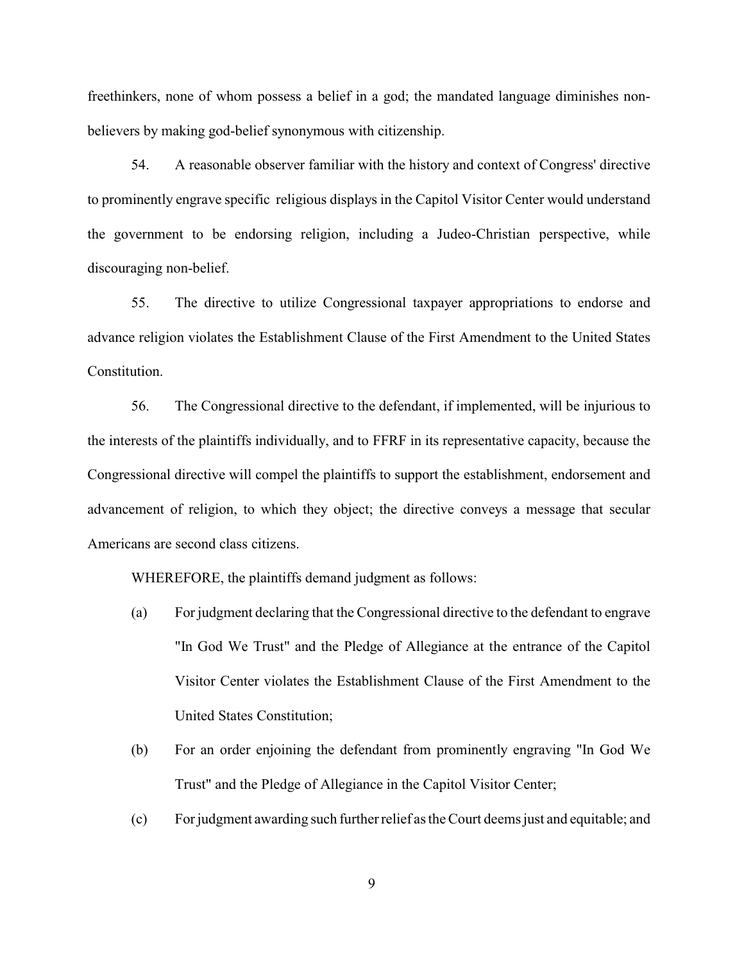freethinkers, none of whom possess a belief in a god; the mandated language diminishes nonbelievers by making god-belief synonymous with citizenship.

54. A reasonable observer familiar with the history and context of Congress' directive to prominently engrave specific religious displays in the Capitol Visitor Center would understand the government to be endorsing religion, including a Judeo-Christian perspective, while discouraging non-belief.

55. The directive to utilize Congressional taxpayer appropriations to endorse and advance religion violates the Establishment Clause of the First Amendment to the United States Constitution.

56. The Congressional directive to the defendant, if implemented, will be injurious to the interests of the plaintiffs individually, and to FFRF in its representative capacity, because the Congressional directive will compel the plaintiffs to support the establishment, endorsement and advancement of religion, to which they object; the directive conveys a message that secular Americans are second class citizens.

WHEREFORE, the plaintiffs demand judgment as follows:

- (a) For judgment declaring that the Congressional directive to the defendant to engrave "In God We Trust" and the Pledge of Allegiance at the entrance of the Capitol Visitor Center violates the Establishment Clause of the First Amendment to the United States Constitution;
- (b) For an order enjoining the defendant from prominently engraving "In God We Trust" and the Pledge of Allegiance in the Capitol Visitor Center;
- (c) For judgment awarding such further relief as the Court deems just and equitable; and